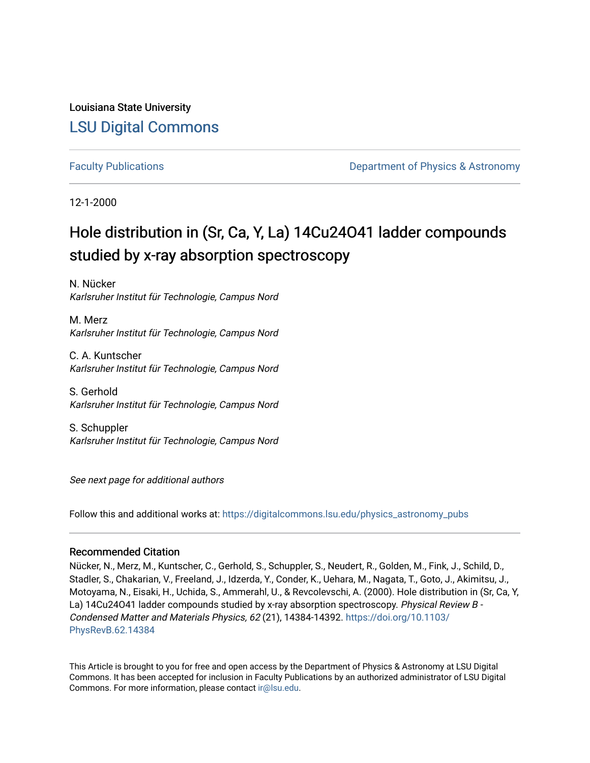# Louisiana State University [LSU Digital Commons](https://digitalcommons.lsu.edu/)

[Faculty Publications](https://digitalcommons.lsu.edu/physics_astronomy_pubs) **Example 2** Constant Department of Physics & Astronomy

12-1-2000

# Hole distribution in (Sr, Ca, Y, La) 14Cu24O41 ladder compounds studied by x-ray absorption spectroscopy

N. Nücker Karlsruher Institut für Technologie, Campus Nord

M. Merz Karlsruher Institut für Technologie, Campus Nord

C. A. Kuntscher Karlsruher Institut für Technologie, Campus Nord

S. Gerhold Karlsruher Institut für Technologie, Campus Nord

S. Schuppler Karlsruher Institut für Technologie, Campus Nord

See next page for additional authors

Follow this and additional works at: [https://digitalcommons.lsu.edu/physics\\_astronomy\\_pubs](https://digitalcommons.lsu.edu/physics_astronomy_pubs?utm_source=digitalcommons.lsu.edu%2Fphysics_astronomy_pubs%2F5346&utm_medium=PDF&utm_campaign=PDFCoverPages) 

## Recommended Citation

Nücker, N., Merz, M., Kuntscher, C., Gerhold, S., Schuppler, S., Neudert, R., Golden, M., Fink, J., Schild, D., Stadler, S., Chakarian, V., Freeland, J., Idzerda, Y., Conder, K., Uehara, M., Nagata, T., Goto, J., Akimitsu, J., Motoyama, N., Eisaki, H., Uchida, S., Ammerahl, U., & Revcolevschi, A. (2000). Hole distribution in (Sr, Ca, Y, La) 14Cu24O41 ladder compounds studied by x-ray absorption spectroscopy. Physical Review B -Condensed Matter and Materials Physics, 62 (21), 14384-14392. [https://doi.org/10.1103/](https://doi.org/10.1103/PhysRevB.62.14384) [PhysRevB.62.14384](https://doi.org/10.1103/PhysRevB.62.14384) 

This Article is brought to you for free and open access by the Department of Physics & Astronomy at LSU Digital Commons. It has been accepted for inclusion in Faculty Publications by an authorized administrator of LSU Digital Commons. For more information, please contact [ir@lsu.edu](mailto:ir@lsu.edu).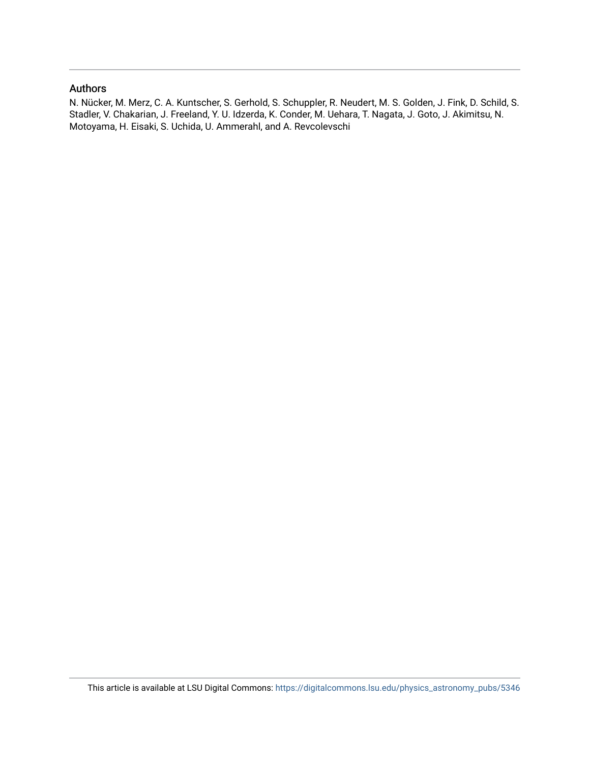## Authors

N. Nücker, M. Merz, C. A. Kuntscher, S. Gerhold, S. Schuppler, R. Neudert, M. S. Golden, J. Fink, D. Schild, S. Stadler, V. Chakarian, J. Freeland, Y. U. Idzerda, K. Conder, M. Uehara, T. Nagata, J. Goto, J. Akimitsu, N. Motoyama, H. Eisaki, S. Uchida, U. Ammerahl, and A. Revcolevschi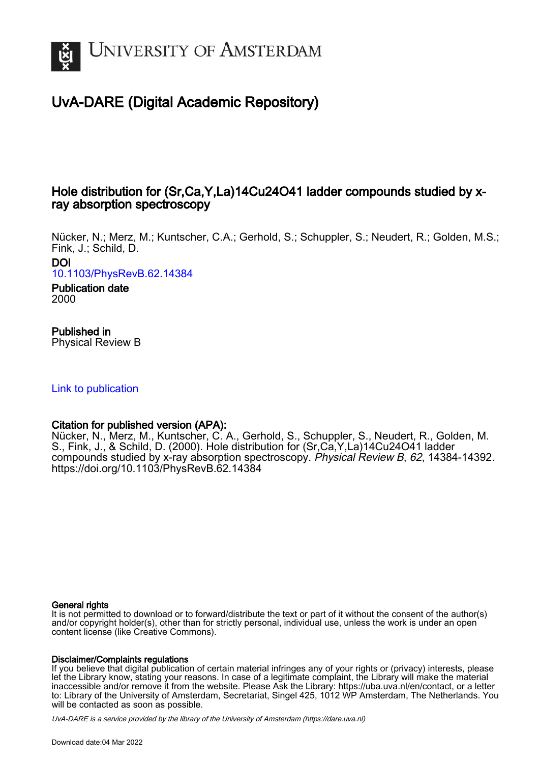

# UvA-DARE (Digital Academic Repository)

# Hole distribution for (Sr,Ca,Y,La)14Cu24O41 ladder compounds studied by xray absorption spectroscopy

Nücker, N.; Merz, M.; Kuntscher, C.A.; Gerhold, S.; Schuppler, S.; Neudert, R.; Golden, M.S.; Fink, J.; Schild, D. DOI

[10.1103/PhysRevB.62.14384](https://doi.org/10.1103/PhysRevB.62.14384)

Publication date 2000

# Published in

Physical Review B

## [Link to publication](https://dare.uva.nl/personal/pure/en/publications/hole-distribution-for-srcayla14cu24o41-ladder-compounds-studied-by-xray-absorption-spectroscopy(badf9870-1f5f-47bc-9fc2-075b4e97ab61).html)

## Citation for published version (APA):

Nücker, N., Merz, M., Kuntscher, C. A., Gerhold, S., Schuppler, S., Neudert, R., Golden, M. S., Fink, J., & Schild, D. (2000). Hole distribution for (Sr,Ca,Y,La)14Cu24O41 ladder compounds studied by x-ray absorption spectroscopy. Physical Review B, 62, 14384-14392. <https://doi.org/10.1103/PhysRevB.62.14384>

### General rights

It is not permitted to download or to forward/distribute the text or part of it without the consent of the author(s) and/or copyright holder(s), other than for strictly personal, individual use, unless the work is under an open content license (like Creative Commons).

### Disclaimer/Complaints regulations

If you believe that digital publication of certain material infringes any of your rights or (privacy) interests, please let the Library know, stating your reasons. In case of a legitimate complaint, the Library will make the material inaccessible and/or remove it from the website. Please Ask the Library: https://uba.uva.nl/en/contact, or a letter to: Library of the University of Amsterdam, Secretariat, Singel 425, 1012 WP Amsterdam, The Netherlands. You will be contacted as soon as possible.

UvA-DARE is a service provided by the library of the University of Amsterdam (http*s*://dare.uva.nl)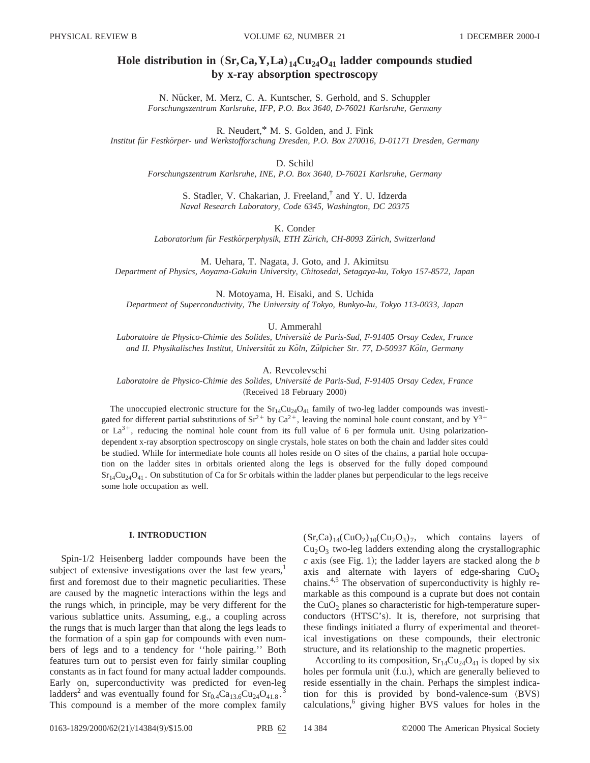## **Hole distribution in**  $(Sr, Ca, Y, La)_{14}Cu_{24}O_{41}$  **ladder compounds studied by x-ray absorption spectroscopy**

N. Nücker, M. Merz, C. A. Kuntscher, S. Gerhold, and S. Schuppler *Forschungszentrum Karlsruhe, IFP, P.O. Box 3640, D-76021 Karlsruhe, Germany*

R. Neudert,\* M. S. Golden, and J. Fink *Institut fu¨r Festko¨rper- und Werkstofforschung Dresden, P.O. Box 270016, D-01171 Dresden, Germany*

D. Schild

*Forschungszentrum Karlsruhe, INE, P.O. Box 3640, D-76021 Karlsruhe, Germany*

S. Stadler, V. Chakarian, J. Freeland,† and Y. U. Idzerda *Naval Research Laboratory, Code 6345, Washington, DC 20375*

K. Conder

*Laboratorium fu¨r Festko¨rperphysik, ETH Zu¨rich, CH-8093 Zu¨rich, Switzerland*

M. Uehara, T. Nagata, J. Goto, and J. Akimitsu *Department of Physics, Aoyama-Gakuin University, Chitosedai, Setagaya-ku, Tokyo 157-8572, Japan*

N. Motoyama, H. Eisaki, and S. Uchida *Department of Superconductivity, The University of Tokyo, Bunkyo-ku, Tokyo 113-0033, Japan*

U. Ammerahl

*Laboratoire de Physico-Chimie des Solides, Universite´ de Paris-Sud, F-91405 Orsay Cedex, France and II. Physikalisches Institut, Universita¨t zu Ko¨ln, Zu¨lpicher Str. 77, D-50937 Ko¨ln, Germany*

A. Revcolevschi

*Laboratoire de Physico-Chimie des Solides, Universite´ de Paris-Sud, F-91405 Orsay Cedex, France* (Received 18 February 2000)

The unoccupied electronic structure for the  $Sr<sub>14</sub>Cu<sub>24</sub>O<sub>41</sub>$  family of two-leg ladder compounds was investigated for different partial substitutions of  $Sr^{2+}$  by  $Ca^{2+}$ , leaving the nominal hole count constant, and by  $Y^{3+}$ or  $La^{3+}$ , reducing the nominal hole count from its full value of 6 per formula unit. Using polarizationdependent x-ray absorption spectroscopy on single crystals, hole states on both the chain and ladder sites could be studied. While for intermediate hole counts all holes reside on O sites of the chains, a partial hole occupation on the ladder sites in orbitals oriented along the legs is observed for the fully doped compound  $Sr_{14}Cu_{24}O_{41}$ . On substitution of Ca for Sr orbitals within the ladder planes but perpendicular to the legs receive some hole occupation as well.

### **I. INTRODUCTION**

Spin-1/2 Heisenberg ladder compounds have been the subject of extensive investigations over the last few years, $<sup>1</sup>$ </sup> first and foremost due to their magnetic peculiarities. These are caused by the magnetic interactions within the legs and the rungs which, in principle, may be very different for the various sublattice units. Assuming, e.g., a coupling across the rungs that is much larger than that along the legs leads to the formation of a spin gap for compounds with even numbers of legs and to a tendency for ''hole pairing.'' Both features turn out to persist even for fairly similar coupling constants as in fact found for many actual ladder compounds. Early on, superconductivity was predicted for even-leg ladders<sup>2</sup> and was eventually found for  $Sr<sub>0.4</sub>Ca<sub>13.6</sub>Cu<sub>24</sub>O<sub>41.8</sub>$ . 3 This compound is a member of the more complex family  $(Sr,Ca)_{14}(CuO<sub>2</sub>)_{10}(Cu<sub>2</sub>O<sub>3</sub>)<sub>7</sub>$ , which contains layers of  $Cu<sub>2</sub>O<sub>3</sub>$  two-leg ladders extending along the crystallographic  $c$  axis (see Fig. 1); the ladder layers are stacked along the  $b$ axis and alternate with layers of edge-sharing  $CuO<sub>2</sub>$ chains.<sup>4,5</sup> The observation of superconductivity is highly remarkable as this compound is a cuprate but does not contain the  $CuO<sub>2</sub>$  planes so characteristic for high-temperature superconductors (HTSC's). It is, therefore, not surprising that these findings initiated a flurry of experimental and theoretical investigations on these compounds, their electronic structure, and its relationship to the magnetic properties.

According to its composition,  $Sr_{14}Cu_{24}O_{41}$  is doped by six holes per formula unit (f.u.), which are generally believed to reside essentially in the chain. Perhaps the simplest indication for this is provided by bond-valence-sum  $(BVS)$ calculations,<sup>6</sup> giving higher BVS values for holes in the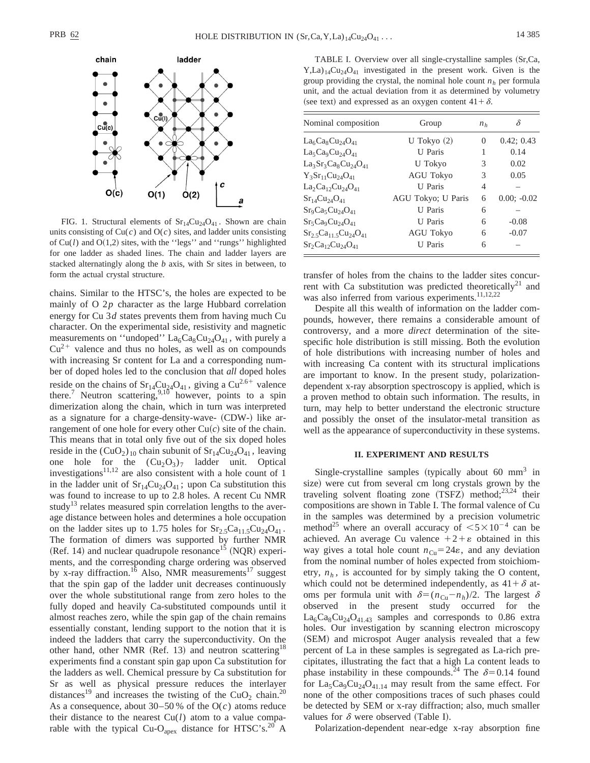

FIG. 1. Structural elements of  $Sr_{14}Cu_{24}O_{41}$ . Shown are chain units consisting of  $Cu(c)$  and  $O(c)$  sites, and ladder units consisting of  $Cu(l)$  and  $O(1,2)$  sites, with the "legs" and "rungs" highlighted for one ladder as shaded lines. The chain and ladder layers are stacked alternatingly along the *b* axis, with Sr sites in between, to form the actual crystal structure.

chains. Similar to the HTSC's, the holes are expected to be mainly of O 2*p* character as the large Hubbard correlation energy for Cu 3*d* states prevents them from having much Cu character. On the experimental side, resistivity and magnetic measurements on "undoped"  $La_6Ca_8Cu_{24}O_{41}$ , with purely a  $Cu^{2+}$  valence and thus no holes, as well as on compounds with increasing Sr content for La and a corresponding number of doped holes led to the conclusion that *all* doped holes reside on the chains of  $Sr_{14}Cu_{24}O_{41}$ , giving a  $Cu^{2.6+}$  valence there.<sup>7</sup> Neutron scattering,<sup>9,10</sup> however, points to a spin dimerization along the chain, which in turn was interpreted as a signature for a charge-density-wave- (CDW-) like arrangement of one hole for every other  $Cu(c)$  site of the chain. This means that in total only five out of the six doped holes reside in the  $(CuO<sub>2</sub>)<sub>10</sub>$  chain subunit of  $Sr<sub>14</sub>Cu<sub>24</sub>O<sub>41</sub>$ , leaving one hole for the  $(Cu_2O_3)_7$  ladder unit. Optical investigations $11,12$  are also consistent with a hole count of 1 in the ladder unit of  $Sr_{14}Cu_{24}O_{41}$ ; upon Ca substitution this was found to increase to up to 2.8 holes. A recent Cu NMR study<sup>13</sup> relates measured spin correlation lengths to the average distance between holes and determines a hole occupation on the ladder sites up to 1.75 holes for  $Sr_{2.5}Ca_{11.5}Cu_{24}O_{41}$ . The formation of dimers was supported by further NMR  $(Ref. 14)$  and nuclear quadrupole resonance<sup>15</sup> (NQR) experiments, and the corresponding charge ordering was observed by x-ray diffraction.<sup>16</sup> Also, NMR measurements<sup>17</sup> suggest that the spin gap of the ladder unit decreases continuously over the whole substitutional range from zero holes to the fully doped and heavily Ca-substituted compounds until it almost reaches zero, while the spin gap of the chain remains essentially constant, lending support to the notion that it is indeed the ladders that carry the superconductivity. On the other hand, other NMR (Ref. 13) and neutron scattering<sup>18</sup> experiments find a constant spin gap upon Ca substitution for the ladders as well. Chemical pressure by Ca substitution for Sr as well as physical pressure reduces the interlayer distances<sup>19</sup> and increases the twisting of the CuO<sub>2</sub> chain.<sup>20</sup> As a consequence, about  $30-50\%$  of the O(*c*) atoms reduce their distance to the nearest Cu(*l*) atom to a value comparable with the typical Cu-O<sub>apex</sub> distance for HTSC's.<sup>20</sup> A

TABLE I. Overview over all single-crystalline samples (Sr,Ca,  $Y,La)_{14}Cu_{24}O_{41}$  investigated in the present work. Given is the group providing the crystal, the nominal hole count  $n<sub>h</sub>$  per formula unit, and the actual deviation from it as determined by volumetry (see text) and expressed as an oxygen content  $41+\delta$ .

| Nominal composition            | Group              | n <sub>h</sub> | δ             |
|--------------------------------|--------------------|----------------|---------------|
| $La6Ca8Cu24O41$                | U Tokyo $(2)$      | 0              | 0.42; 0.43    |
| $La5Ca9Cu24O41$                | <b>U</b> Paris     |                | 0.14          |
| $La_3Sr_3Ca_8Cu_{24}O_{41}$    | U Tokyo            | 3              | 0.02          |
| $Y_3Sr_{11}Cu_{24}O_{41}$      | <b>AGU Tokyo</b>   | 3              | 0.05          |
| $La2Ca12Cu24O41$               | <b>U</b> Paris     | 4              |               |
| $Sr_{14}Cu_{24}O_{41}$         | AGU Tokyo; U Paris | 6              | $0.00; -0.02$ |
| $Sr_9Ca_5Cu_{24}O_{41}$        | <b>U</b> Paris     | 6              |               |
| $Sr_5Ca_9Cu_{24}O_{41}$        | <b>U</b> Paris     | 6              | $-0.08$       |
| $Sr_{25}Ca_{115}Cu_{24}O_{41}$ | <b>AGU Tokyo</b>   | 6              | $-0.07$       |
| $Sr_2Ca_{12}Cu_{24}O_{41}$     | <b>U</b> Paris     | 6              |               |

transfer of holes from the chains to the ladder sites concurrent with Ca substitution was predicted theoretically<sup>21</sup> and was also inferred from various experiments.<sup>11,12,22</sup>

Despite all this wealth of information on the ladder compounds, however, there remains a considerable amount of controversy, and a more *direct* determination of the sitespecific hole distribution is still missing. Both the evolution of hole distributions with increasing number of holes and with increasing Ca content with its structural implications are important to know. In the present study, polarizationdependent x-ray absorption spectroscopy is applied, which is a proven method to obtain such information. The results, in turn, may help to better understand the electronic structure and possibly the onset of the insulator-metal transition as well as the appearance of superconductivity in these systems.

#### **II. EXPERIMENT AND RESULTS**

Single-crystalline samples (typically about 60 mm<sup>3</sup> in size) were cut from several cm long crystals grown by the traveling solvent floating zone  $(TSFZ)$  method;<sup>23,24</sup> their compositions are shown in Table I. The formal valence of Cu in the samples was determined by a precision volumetric method<sup>25</sup> where an overall accuracy of  $\leq 5 \times 10^{-4}$  can be achieved. An average Cu valence  $+2+\varepsilon$  obtained in this way gives a total hole count  $n_{Cu} = 24\varepsilon$ , and any deviation from the nominal number of holes expected from stoichiometry,  $n_h$ , is accounted for by simply taking the O content, which could not be determined independently, as  $41 + \delta$  atoms per formula unit with  $\delta = (n_{Cu} - n_h)/2$ . The largest  $\delta$ observed in the present study occurred for the  $La_6Ca_8Cu_{24}O_{41.43}$  samples and corresponds to 0.86 extra holes. Our investigation by scanning electron microscopy (SEM) and microspot Auger analysis revealed that a few percent of La in these samples is segregated as La-rich precipitates, illustrating the fact that a high La content leads to phase instability in these compounds.<sup>24</sup> The  $\delta$ =0.14 found for  $La_5Ca_9Cu_{24}O_{41.14}$  may result from the same effect. For none of the other compositions traces of such phases could be detected by SEM or x-ray diffraction; also, much smaller values for  $\delta$  were observed (Table I).

Polarization-dependent near-edge x-ray absorption fine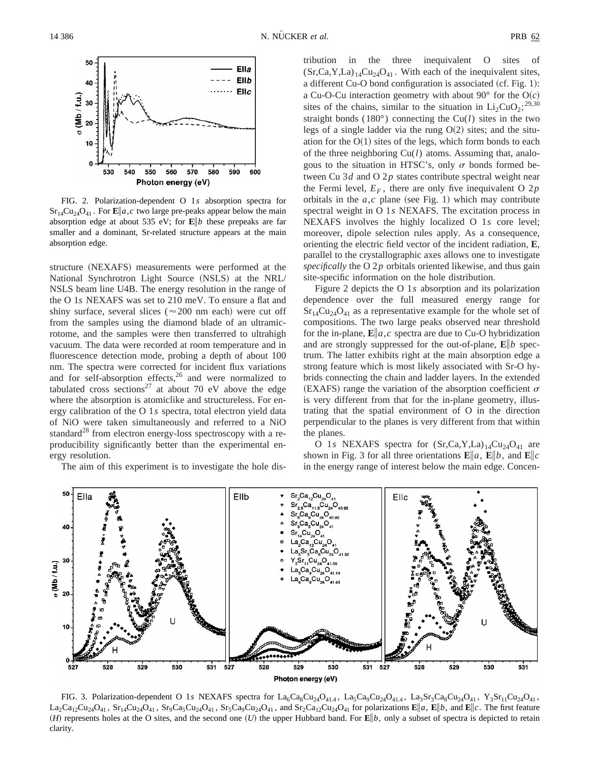

FIG. 2. Polarization-dependent O 1*s* absorption spectra for  $Sr_{14}Cu_{24}O_{41}$ . For  $\mathbf{E} \| a, c$  two large pre-peaks appear below the main absorption edge at about 535 eV; for **E**i*b* these prepeaks are far smaller and a dominant, Sr-related structure appears at the main absorption edge.

structure (NEXAFS) measurements were performed at the National Synchrotron Light Source (NSLS) at the NRL/ NSLS beam line U4B. The energy resolution in the range of the O 1*s* NEXAFS was set to 210 meV. To ensure a flat and shiny surface, several slices ( $\approx$  200 nm each) were cut off from the samples using the diamond blade of an ultramicrotome, and the samples were then transferred to ultrahigh vacuum. The data were recorded at room temperature and in fluorescence detection mode, probing a depth of about 100 nm. The spectra were corrected for incident flux variations and for self-absorption effects, $26$  and were normalized to tabulated cross sections<sup>27</sup> at about 70 eV above the edge where the absorption is atomiclike and structureless. For energy calibration of the O 1*s* spectra, total electron yield data of NiO were taken simultaneously and referred to a NiO standard<sup>28</sup> from electron energy-loss spectroscopy with a reproducibility significantly better than the experimental energy resolution.

The aim of this experiment is to investigate the hole dis-

tribution in the three inequivalent O sites of  $(Sr,Ca,Y,La)_{14}Cu_{24}O_{41}$ . With each of the inequivalent sites, a different Cu-O bond configuration is associated  $(cf. Fig. 1):$ a Cu-O-Cu interaction geometry with about  $90^\circ$  for the O(*c*) sites of the chains, similar to the situation in  $Li_2CuO_2$ ;<sup>29,30</sup> straight bonds  $(180^{\circ})$  connecting the Cu(*l*) sites in the two legs of a single ladder via the rung  $O(2)$  sites; and the situation for the  $O(1)$  sites of the legs, which form bonds to each of the three neighboring Cu(*l*) atoms. Assuming that, analogous to the situation in HTSC's, only  $\sigma$  bonds formed between Cu 3*d* and O 2*p* states contribute spectral weight near the Fermi level,  $E_F$ , there are only five inequivalent O 2*p* orbitals in the  $a, c$  plane (see Fig. 1) which may contribute spectral weight in O 1*s* NEXAFS. The excitation process in NEXAFS involves the highly localized O 1*s* core level; moreover, dipole selection rules apply. As a consequence, orienting the electric field vector of the incident radiation, **E**, parallel to the crystallographic axes allows one to investigate *specifically* the O 2*p* orbitals oriented likewise, and thus gain site-specific information on the hole distribution.

Figure 2 depicts the O 1*s* absorption and its polarization dependence over the full measured energy range for  $Sr_{14}Cu_{24}O_{41}$  as a representative example for the whole set of compositions. The two large peaks observed near threshold for the in-plane,  $\mathbf{E} \| a, c$  spectra are due to Cu-O hybridization and are strongly suppressed for the out-of-plane,  $\mathbf{E} \| b$  spectrum. The latter exhibits right at the main absorption edge a strong feature which is most likely associated with Sr-O hybrids connecting the chain and ladder layers. In the extended (EXAFS) range the variation of the absorption coefficient  $\sigma$ is very different from that for the in-plane geometry, illustrating that the spatial environment of O in the direction perpendicular to the planes is very different from that within the planes.

O 1*s* NEXAFS spectra for  $(Sr, Ca, Y, La)_{14}Cu_{24}O_{41}$  are shown in Fig. 3 for all three orientations  $\mathbf{E} \| a$ ,  $\mathbf{E} \| b$ , and  $\mathbf{E} \| c$ in the energy range of interest below the main edge. Concen-



FIG. 3. Polarization-dependent O 1s NEXAFS spectra for  $La_6Ca_8Cu_{24}O_{41.4}$ ,  $La_3Ca_9Cu_{24}O_{41.4}$ ,  $La_3Sr_3Ca_8Cu_{24}O_{41}$ ,  $Y_3Sr_{11}Cu_{24}O_{41}$ ,  $\text{La}_2\text{Ca}_{12}\text{Cu}_2\text{O}_{41}$ ,  $\text{Sr}_1\text{Cu}_2\text{O}_{41}$ ,  $\text{Sr}_9\text{Ca}_3\text{Cu}_2\text{O}_{41}$ ,  $\text{Sr}_5\text{Ca}_9\text{Cu}_4\text{O}_{41}$ , and  $\text{Sr}_2\text{Ca}_{12}\text{Cu}_2\text{O}_{41}$  for polarizations  $\textbf{E}\|a$ ,  $\textbf{E}\|b$ , and  $\textbf{E}\|c$ . The first feat  $(H)$  represents holes at the O sites, and the second one  $(U)$  the upper Hubbard band. For  $\mathbf{E} \| b$ , only a subset of spectra is depicted to retain clarity.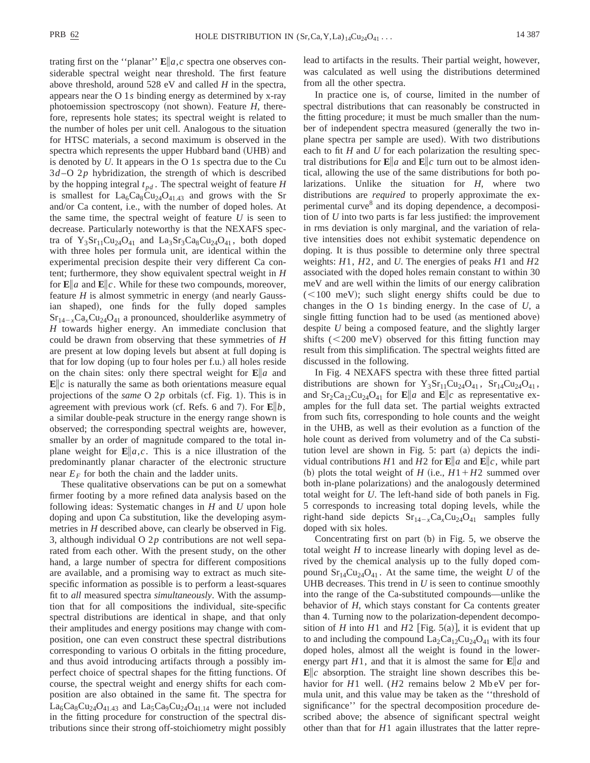trating first on the "planar"  $\mathbf{E} \| a, c$  spectra one observes considerable spectral weight near threshold. The first feature above threshold, around 528 eV and called *H* in the spectra, appears near the O 1*s* binding energy as determined by x-ray photoemission spectroscopy (not shown). Feature  $H$ , therefore, represents hole states; its spectral weight is related to the number of holes per unit cell. Analogous to the situation for HTSC materials, a second maximum is observed in the spectra which represents the upper Hubbard band (UHB) and is denoted by *U*. It appears in the O 1*s* spectra due to the Cu  $3d - O$  2*p* hybridization, the strength of which is described by the hopping integral  $t_{nd}$ . The spectral weight of feature *H* is smallest for  $La_6Ca_8Cu_{24}O_{41.43}$  and grows with the Sr and/or Ca content, i.e., with the number of doped holes. At the same time, the spectral weight of feature *U* is seen to decrease. Particularly noteworthy is that the NEXAFS spectra of  $Y_3Sr_{11}Cu_{24}O_{41}$  and  $La_3Sr_3Ca_8Cu_{24}O_{41}$ , both doped with three holes per formula unit, are identical within the experimental precision despite their very different Ca content; furthermore, they show equivalent spectral weight in *H* for  $\mathbf{E}$ *a* and  $\mathbf{E}$ *c*. While for these two compounds, moreover, feature  $H$  is almost symmetric in energy (and nearly Gaussian shaped), one finds for the fully doped samples  $Sr_{14-x}Ca_xCu_{24}O_{41}$  a pronounced, shoulderlike asymmetry of *H* towards higher energy. An immediate conclusion that could be drawn from observing that these symmetries of *H* are present at low doping levels but absent at full doping is that for low doping (up to four holes per f.u.) all holes reside on the chain sites: only there spectral weight for **E**i*a* and  $\mathbf{E}\|c$  is naturally the same as both orientations measure equal projections of the *same* O  $2p$  orbitals (cf. Fig. 1). This is in agreement with previous work (cf. Refs. 6 and 7). For  $\mathbf{E} \parallel b$ , a similar double-peak structure in the energy range shown is observed; the corresponding spectral weights are, however, smaller by an order of magnitude compared to the total inplane weight for  $\mathbf{E} \| a, c$ . This is a nice illustration of the predominantly planar character of the electronic structure near  $E_F$  for both the chain and the ladder units.

These qualitative observations can be put on a somewhat firmer footing by a more refined data analysis based on the following ideas: Systematic changes in *H* and *U* upon hole doping and upon Ca substitution, like the developing asymmetries in *H* described above, can clearly be observed in Fig. 3, although individual O 2*p* contributions are not well separated from each other. With the present study, on the other hand, a large number of spectra for different compositions are available, and a promising way to extract as much sitespecific information as possible is to perform a least-squares fit to *all* measured spectra *simultaneously*. With the assumption that for all compositions the individual, site-specific spectral distributions are identical in shape, and that only their amplitudes and energy positions may change with composition, one can even construct these spectral distributions corresponding to various O orbitals in the fitting procedure, and thus avoid introducing artifacts through a possibly imperfect choice of spectral shapes for the fitting functions. Of course, the spectral weight and energy shifts for each composition are also obtained in the same fit. The spectra for  $La_6Ca_8Cu_{24}O_{41.43}$  and  $La_5Ca_9Cu_{24}O_{41.14}$  were not included in the fitting procedure for construction of the spectral distributions since their strong off-stoichiometry might possibly lead to artifacts in the results. Their partial weight, however, was calculated as well using the distributions determined from all the other spectra.

In practice one is, of course, limited in the number of spectral distributions that can reasonably be constructed in the fitting procedure; it must be much smaller than the number of independent spectra measured (generally the two inplane spectra per sample are used). With two distributions each to fit *H* and *U* for each polarization the resulting spectral distributions for  $\mathbf{E} \parallel a$  and  $\mathbf{E} \parallel c$  turn out to be almost identical, allowing the use of the same distributions for both polarizations. Unlike the situation for *H*, where two distributions are *required* to properly approximate the experimental curve8 and its doping dependence, a decomposition of *U* into two parts is far less justified: the improvement in rms deviation is only marginal, and the variation of relative intensities does not exhibit systematic dependence on doping. It is thus possible to determine only three spectral weights: *H*1, *H*2, and *U*. The energies of peaks *H*1 and *H*2 associated with the doped holes remain constant to within 30 meV and are well within the limits of our energy calibration  $(<100$  meV); such slight energy shifts could be due to changes in the O 1*s* binding energy. In the case of *U*, a single fitting function had to be used (as mentioned above) despite *U* being a composed feature, and the slightly larger shifts  $(<200$  meV) observed for this fitting function may result from this simplification. The spectral weights fitted are discussed in the following.

In Fig. 4 NEXAFS spectra with these three fitted partial distributions are shown for  $Y_3Sr_{11}Cu_{24}O_{41}$ ,  $Sr_{14}Cu_{24}O_{41}$ , and  $Sr_2Ca_{12}Cu_{24}O_{41}$  for  $\mathbf{E}\|a$  and  $\mathbf{E}\|c$  as representative examples for the full data set. The partial weights extracted from such fits, corresponding to hole counts and the weight in the UHB, as well as their evolution as a function of the hole count as derived from volumetry and of the Ca substitution level are shown in Fig. 5: part  $(a)$  depicts the individual contributions *H*1 and *H*2 for  $\mathbf{E}$ *a* and  $\mathbf{E}$ *a*, while part (b) plots the total weight of *H* (i.e.,  $H1 + H2$  summed over both in-plane polarizations) and the analogously determined total weight for *U*. The left-hand side of both panels in Fig. 5 corresponds to increasing total doping levels, while the right-hand side depicts  $Sr_{14-x}Ca_xCu_{24}O_{41}$  samples fully doped with six holes.

Concentrating first on part  $(b)$  in Fig. 5, we observe the total weight *H* to increase linearly with doping level as derived by the chemical analysis up to the fully doped compound  $Sr_{14}Cu_{24}O_{41}$ . At the same time, the weight *U* of the UHB decreases. This trend in *U* is seen to continue smoothly into the range of the Ca-substituted compounds—unlike the behavior of *H*, which stays constant for Ca contents greater than 4. Turning now to the polarization-dependent decomposition of *H* into *H*1 and *H*2 [Fig. 5(a)], it is evident that up to and including the compound  $La_2Ca_{12}Cu_{24}O_{41}$  with its four doped holes, almost all the weight is found in the lowerenergy part  $H1$ , and that it is almost the same for  $\mathbf{E}$ *a* and  $\mathbf{E}\|c$  absorption. The straight line shown describes this behavior for *H*1 well. (*H*2 remains below 2 Mb eV per formula unit, and this value may be taken as the ''threshold of significance'' for the spectral decomposition procedure described above; the absence of significant spectral weight other than that for *H*1 again illustrates that the latter repre-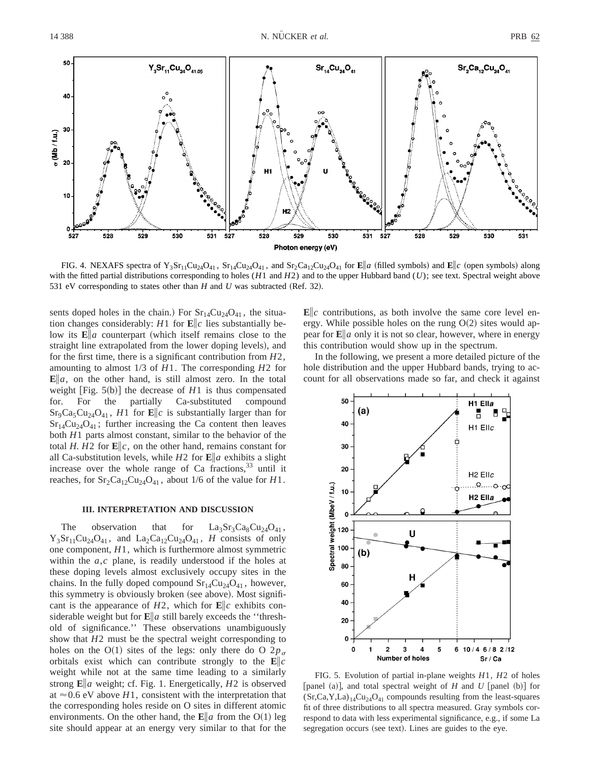

FIG. 4. NEXAFS spectra of Y<sub>3</sub>Sr<sub>11</sub>Cu<sub>24</sub>O<sub>41</sub>, Sr<sub>14</sub>Cu<sub>24</sub>O<sub>41</sub>, and Sr<sub>2</sub>Ca<sub>12</sub>Cu<sub>24</sub>O<sub>41</sub> for **E**||a (filled symbols) and **E**||c (open symbols) along with the fitted partial distributions corresponding to holes (*H*1 and *H*2) and to the upper Hubbard band (*U*); see text. Spectral weight above 531 eV corresponding to states other than  $H$  and  $U$  was subtracted (Ref. 32).

sents doped holes in the chain.) For  $Sr_{14}Cu_{24}O_{41}$ , the situation changes considerably: *H*1 for  $\mathbf{E}$ *||c* lies substantially below its  $\mathbf{E}$  *a* counterpart (which itself remains close to the straight line extrapolated from the lower doping levels), and for the first time, there is a significant contribution from *H*2, amounting to almost 1/3 of *H*1. The corresponding *H*2 for  $\mathbf{E} \| a$ , on the other hand, is still almost zero. In the total weight [Fig.  $5(b)$ ] the decrease of  $H1$  is thus compensated for. For the partially Ca-substituted compound  $Sr_9Ca_5Cu_{24}O_{41}$ , *H*1 for **E**||c is substantially larger than for  $Sr_{14}Cu_{24}O_{41}$ ; further increasing the Ca content then leaves both *H*1 parts almost constant, similar to the behavior of the total *H*. *H*2 for  $\mathbf{E}$ ||c, on the other hand, remains constant for all Ca-substitution levels, while  $H2$  for  $\mathbf{E}$ *a* exhibits a slight increase over the whole range of Ca fractions,  $33$  until it reaches, for  $Sr_2Ca_{12}Cu_{24}O_{41}$ , about 1/6 of the value for *H*1.

#### **III. INTERPRETATION AND DISCUSSION**

The observation that for  $La_3Sr_3Ca_8Cu_{24}O_{41}$ ,  $Y_3Sr_{11}Cu_{24}O_{41}$ , and  $La_2Ca_{12}Cu_{24}O_{41}$ , *H* consists of only one component, *H*1, which is furthermore almost symmetric within the *a*,*c* plane, is readily understood if the holes at these doping levels almost exclusively occupy sites in the chains. In the fully doped compound  $Sr<sub>14</sub>Cu<sub>24</sub>O<sub>41</sub>$ , however, this symmetry is obviously broken (see above). Most significant is the appearance of  $H2$ , which for  $\mathbf{E}$ *||c* exhibits considerable weight but for  $\mathbf{E}$  *a* still barely exceeds the "threshold of significance.'' These observations unambiguously show that *H*2 must be the spectral weight corresponding to holes on the O(1) sites of the legs: only there do O  $2p_{\sigma}$ orbitals exist which can contribute strongly to the  $\mathbf{E} \| c$ weight while not at the same time leading to a similarly strong **E**i*a* weight; cf. Fig. 1. Energetically, *H*2 is observed at  $\approx$  0.6 eV above *H*1, consistent with the interpretation that the corresponding holes reside on O sites in different atomic environments. On the other hand, the  $\mathbf{E} \parallel a$  from the O(1) leg site should appear at an energy very similar to that for the  $\mathbf{E}\|c$  contributions, as both involve the same core level energy. While possible holes on the rung  $O(2)$  sites would appear for  $\mathbf{E}$  *a* only it is not so clear, however, where in energy this contribution would show up in the spectrum.

In the following, we present a more detailed picture of the hole distribution and the upper Hubbard bands, trying to account for all observations made so far, and check it against



FIG. 5. Evolution of partial in-plane weights *H*1, *H*2 of holes [panel (a)], and total spectral weight of *H* and *U* [panel (b)] for  $(Sr,Ca,Y,La)_{14}Cu_{24}O_{41}$  compounds resulting from the least-squares fit of three distributions to all spectra measured. Gray symbols correspond to data with less experimental significance, e.g., if some La segregation occurs (see text). Lines are guides to the eye.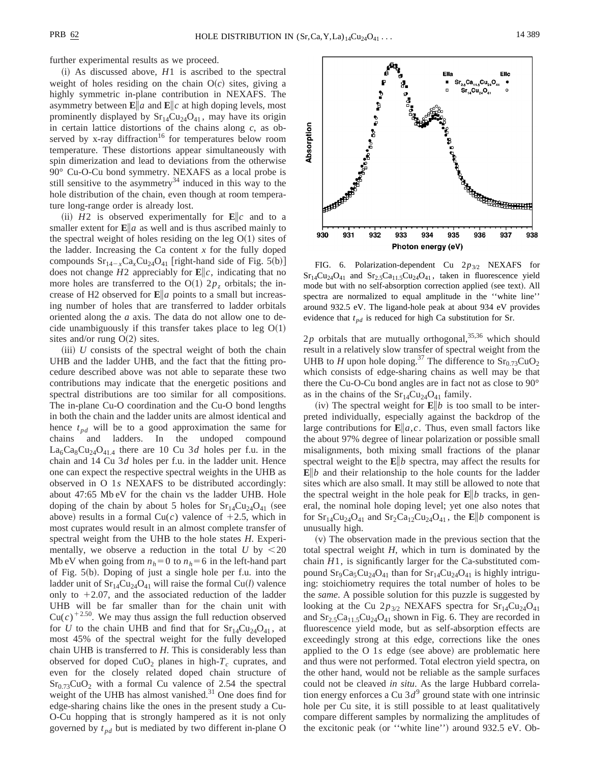further experimental results as we proceed.

 $(i)$  As discussed above,  $H1$  is ascribed to the spectral weight of holes residing on the chain  $O(c)$  sites, giving a highly symmetric in-plane contribution in NEXAFS. The asymmetry between  $\mathbf{E}$ *a* and  $\mathbf{E}$ *c* at high doping levels, most prominently displayed by  $Sr_{14}Cu_{24}O_{41}$ , may have its origin in certain lattice distortions of the chains along *c*, as observed by x-ray diffraction<sup>16</sup> for temperatures below room temperature. These distortions appear simultaneously with spin dimerization and lead to deviations from the otherwise 90° Cu-O-Cu bond symmetry. NEXAFS as a local probe is still sensitive to the asymmetry<sup>34</sup> induced in this way to the hole distribution of the chain, even though at room temperature long-range order is already lost.

(ii)  $H2$  is observed experimentally for  $\mathbf{E}\|c$  and to a smaller extent for  $\mathbf{E}$ *a* as well and is thus ascribed mainly to the spectral weight of holes residing on the leg  $O(1)$  sites of the ladder. Increasing the Ca content  $x$  for the fully doped compounds  $Sr_{14-x}Ca_xCu_{24}O_{41}$  [right-hand side of Fig. 5(b)] does not change  $H2$  appreciably for  $\mathbf{E} \| c$ , indicating that no more holes are transferred to the O(1)  $2p<sub>z</sub>$  orbitals; the increase of H2 observed for  $\mathbf{E}$ *a* points to a small but increasing number of holes that are transferred to ladder orbitals oriented along the *a* axis. The data do not allow one to decide unambiguously if this transfer takes place to leg  $O(1)$ sites and/or rung  $O(2)$  sites.

 $(iii)$  *U* consists of the spectral weight of both the chain UHB and the ladder UHB, and the fact that the fitting procedure described above was not able to separate these two contributions may indicate that the energetic positions and spectral distributions are too similar for all compositions. The in-plane Cu-O coordination and the Cu-O bond lengths in both the chain and the ladder units are almost identical and hence  $t_{pd}$  will be to a good approximation the same for chains and ladders. In the undoped compound  $La_6Ca_8Cu_{24}O_{41.4}$  there are 10 Cu 3*d* holes per f.u. in the chain and 14 Cu 3*d* holes per f.u. in the ladder unit. Hence one can expect the respective spectral weights in the UHB as observed in O 1*s* NEXAFS to be distributed accordingly: about 47:65 Mb eV for the chain vs the ladder UHB. Hole doping of the chain by about 5 holes for  $Sr_{14}Cu_{24}O_{41}$  (see above) results in a formal Cu(c) valence of  $+2.5$ , which in most cuprates would result in an almost complete transfer of spectral weight from the UHB to the hole states *H*. Experimentally, we observe a reduction in the total  $U$  by  $\leq 20$ Mb eV when going from  $n_h=0$  to  $n_h=6$  in the left-hand part of Fig.  $5(b)$ . Doping of just a single hole per f.u. into the ladder unit of  $Sr_{14}Cu_{24}O_{41}$  will raise the formal Cu(*l*) valence only to  $+2.07$ , and the associated reduction of the ladder UHB will be far smaller than for the chain unit with  $Cu(c)^{+2.50}$ . We may thus assign the full reduction observed for *U* to the chain UHB and find that for  $Sr_{14}Cu_{24}O_{41}$ , at most 45% of the spectral weight for the fully developed chain UHB is transferred to *H*. This is considerably less than observed for doped  $CuO<sub>2</sub>$  planes in high- $T_c$  cuprates, and even for the closely related doped chain structure of  $Sr<sub>0.73</sub>CuO<sub>2</sub>$  with a formal Cu valence of 2.54 the spectral weight of the UHB has almost vanished.<sup>31</sup> One does find for edge-sharing chains like the ones in the present study a Cu-O-Cu hopping that is strongly hampered as it is not only governed by  $t_{pd}$  but is mediated by two different in-plane O



FIG. 6. Polarization-dependent Cu 2p<sub>3/2</sub> NEXAFS for  $Sr_{14}Cu_{24}O_{41}$  and  $Sr_{2.5}Ca_{11.5}Cu_{24}O_{41}$ , taken in fluorescence yield mode but with no self-absorption correction applied (see text). All spectra are normalized to equal amplitude in the ''white line'' around 932.5 eV. The ligand-hole peak at about 934 eV provides evidence that  $t_{pd}$  is reduced for high Ca substitution for Sr.

 $2p$  orbitals that are mutually orthogonal,  $35,36$  which should result in a relatively slow transfer of spectral weight from the UHB to *H* upon hole doping.<sup>37</sup> The difference to  $\text{Sr}_{0.73}\text{CuO}_2$ which consists of edge-sharing chains as well may be that there the Cu-O-Cu bond angles are in fact not as close to 90° as in the chains of the  $Sr<sub>14</sub>Cu<sub>24</sub>O<sub>41</sub>$  family.

(iv) The spectral weight for  $\mathbf{E} \| b$  is too small to be interpreted individually, especially against the backdrop of the large contributions for  $\mathbf{E} \| a, c$ . Thus, even small factors like the about 97% degree of linear polarization or possible small misalignments, both mixing small fractions of the planar spectral weight to the  $\mathbf{E} \| b$  spectra, may affect the results for  $\mathbf{E}$ ||b and their relationship to the hole counts for the ladder sites which are also small. It may still be allowed to note that the spectral weight in the hole peak for  $\mathbf{E} \| b$  tracks, in general, the nominal hole doping level; yet one also notes that for  $Sr_{14}Cu_{24}O_{41}$  and  $Sr_2Ca_{12}Cu_{24}O_{41}$ , the  $\mathbf{E}||b$  component is unusually high.

 $(v)$  The observation made in the previous section that the total spectral weight *H*, which in turn is dominated by the chain *H*1, is significantly larger for the Ca-substituted compound  $Sr_9Ca_5Cu_{24}O_{41}$  than for  $Sr_{14}Cu_{24}O_{41}$  is highly intriguing: stoichiometry requires the total number of holes to be the *same*. A possible solution for this puzzle is suggested by looking at the Cu  $2p_{3/2}$  NEXAFS spectra for  $Sr_{14}Cu_{24}O_{41}$ and  $Sr_{2.5}Ca_{11.5}Cu_{24}O_{41}$  shown in Fig. 6. They are recorded in fluorescence yield mode, but as self-absorption effects are exceedingly strong at this edge, corrections like the ones applied to the O  $1s$  edge (see above) are problematic here and thus were not performed. Total electron yield spectra, on the other hand, would not be reliable as the sample surfaces could not be cleaved *in situ*. As the large Hubbard correlation energy enforces a Cu  $3d^9$  ground state with one intrinsic hole per Cu site, it is still possible to at least qualitatively compare different samples by normalizing the amplitudes of the excitonic peak (or "white line") around  $932.5$  eV. Ob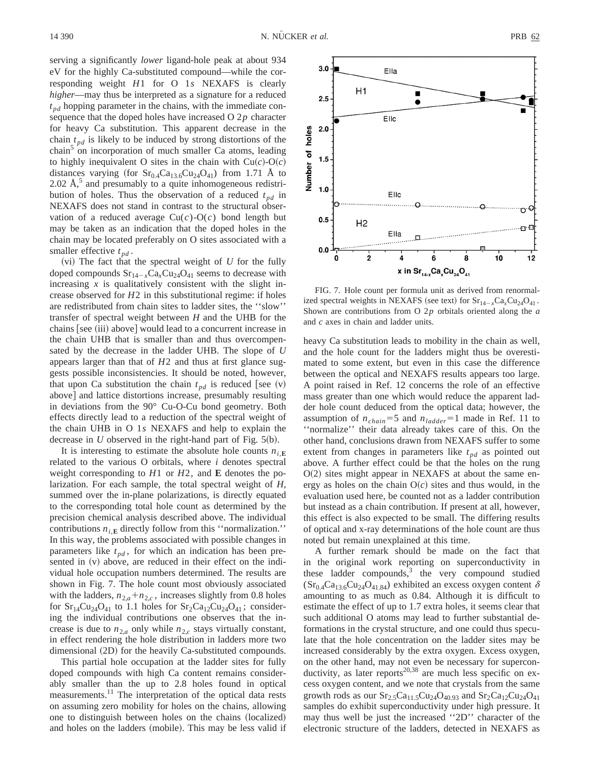serving a significantly *lower* ligand-hole peak at about 934 eV for the highly Ca-substituted compound—while the corresponding weight *H*1 for O 1*s* NEXAFS is clearly *higher*—may thus be interpreted as a signature for a reduced  $t_{pd}$  hopping parameter in the chains, with the immediate consequence that the doped holes have increased O 2*p* character for heavy Ca substitution. This apparent decrease in the chain  $t_{nd}$  is likely to be induced by strong distortions of the chain<sup>3</sup> on incorporation of much smaller Ca atoms, leading to highly inequivalent O sites in the chain with  $Cu(c)-O(c)$ distances varying (for  $Sr<sub>0.4</sub>Ca<sub>13.6</sub>Cu<sub>24</sub>O<sub>41</sub>$ ) from 1.71 Å to  $2.02 \text{ Å}$ ,<sup>5</sup> and presumably to a quite inhomogeneous redistribution of holes. Thus the observation of a reduced  $t_{nd}$  in NEXAFS does not stand in contrast to the structural observation of a reduced average  $Cu(c)-O(c)$  bond length but may be taken as an indication that the doped holes in the chain may be located preferably on O sites associated with a smaller effective  $t_{nd}$ .

 $(vi)$  The fact that the spectral weight of  $U$  for the fully doped compounds  $Sr_{14-x}Ca_xCu_{24}O_{41}$  seems to decrease with increasing  $x$  is qualitatively consistent with the slight increase observed for *H*2 in this substitutional regime: if holes are redistributed from chain sites to ladder sites, the ''slow'' transfer of spectral weight between *H* and the UHB for the chains [see (iii) above] would lead to a concurrent increase in the chain UHB that is smaller than and thus overcompensated by the decrease in the ladder UHB. The slope of *U* appears larger than that of *H*2 and thus at first glance suggests possible inconsistencies. It should be noted, however, that upon Ca substitution the chain  $t_{pd}$  is reduced [see (v) above] and lattice distortions increase, presumably resulting in deviations from the 90° Cu-O-Cu bond geometry. Both effects directly lead to a reduction of the spectral weight of the chain UHB in O 1*s* NEXAFS and help to explain the decrease in *U* observed in the right-hand part of Fig.  $5(b)$ .

It is interesting to estimate the absolute hole counts  $n_i$ **E** related to the various O orbitals, where *i* denotes spectral weight corresponding to *H*1 or *H*2, and **E** denotes the polarization. For each sample, the total spectral weight of *H*, summed over the in-plane polarizations, is directly equated to the corresponding total hole count as determined by the precision chemical analysis described above. The individual contributions  $n_{i,\mathbf{E}}$  directly follow from this "normalization." In this way, the problems associated with possible changes in parameters like  $t_{pd}$ , for which an indication has been presented in  $(v)$  above, are reduced in their effect on the individual hole occupation numbers determined. The results are shown in Fig. 7. The hole count most obviously associated with the ladders,  $n_{2,a} + n_{2,c}$ , increases slightly from 0.8 holes for  $Sr_{14}Cu_{24}O_{41}$  to 1.1 holes for  $Sr_{2}Ca_{12}Cu_{24}O_{41}$ ; considering the individual contributions one observes that the increase is due to  $n_{2,a}$  only while  $n_{2,c}$  stays virtually constant, in effect rendering the hole distribution in ladders more two dimensional (2D) for the heavily Ca-substituted compounds.

This partial hole occupation at the ladder sites for fully doped compounds with high Ca content remains considerably smaller than the up to 2.8 holes found in optical measurements.<sup>11</sup> The interpretation of the optical data rests on assuming zero mobility for holes on the chains, allowing one to distinguish between holes on the chains (localized) and holes on the ladders (mobile). This may be less valid if



FIG. 7. Hole count per formula unit as derived from renormalized spectral weights in NEXAFS (see text) for  $Sr_{14-x}Ca_xCu_{24}O_{41}$ . Shown are contributions from O 2*p* orbitals oriented along the *a* and *c* axes in chain and ladder units.

heavy Ca substitution leads to mobility in the chain as well, and the hole count for the ladders might thus be overestimated to some extent, but even in this case the difference between the optical and NEXAFS results appears too large. A point raised in Ref. 12 concerns the role of an effective mass greater than one which would reduce the apparent ladder hole count deduced from the optical data; however, the assumption of  $n_{chain} = 5$  and  $n_{ladder} = 1$  made in Ref. 11 to ''normalize'' their data already takes care of this. On the other hand, conclusions drawn from NEXAFS suffer to some extent from changes in parameters like  $t_{nd}$  as pointed out above. A further effect could be that the holes on the rung  $O(2)$  sites might appear in NEXAFS at about the same energy as holes on the chain  $O(c)$  sites and thus would, in the evaluation used here, be counted not as a ladder contribution but instead as a chain contribution. If present at all, however, this effect is also expected to be small. The differing results of optical and x-ray determinations of the hole count are thus noted but remain unexplained at this time.

A further remark should be made on the fact that in the original work reporting on superconductivity in these ladder compounds, $3$  the very compound studied  $(Sr_{0.4}Ca_{13.6}Cu_{24}O_{41.84})$  exhibited an excess oxygen content  $\delta$ amounting to as much as 0.84. Although it is difficult to estimate the effect of up to 1.7 extra holes, it seems clear that such additional O atoms may lead to further substantial deformations in the crystal structure, and one could thus speculate that the hole concentration on the ladder sites may be increased considerably by the extra oxygen. Excess oxygen, on the other hand, may not even be necessary for superconductivity, as later reports<sup>20,38</sup> are much less specific on excess oxygen content, and we note that crystals from the same growth rods as our  $Sr_2_5Ca_{11.5}Cu_{24}O_{40.93}$  and  $Sr_2Ca_{12}Cu_{24}O_{41}$ samples do exhibit superconductivity under high pressure. It may thus well be just the increased ''2D'' character of the electronic structure of the ladders, detected in NEXAFS as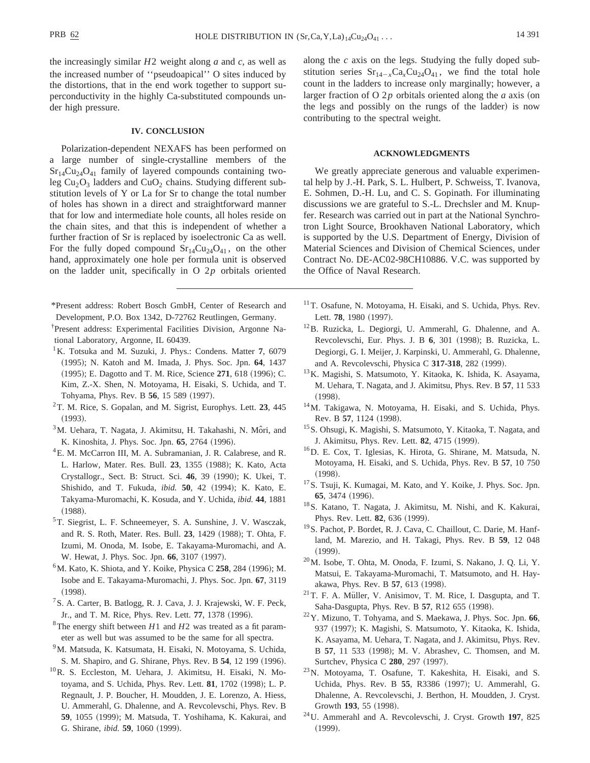the increasingly similar *H*2 weight along *a* and *c*, as well as the increased number of ''pseudoapical'' O sites induced by the distortions, that in the end work together to support superconductivity in the highly Ca-substituted compounds under high pressure.

#### **IV. CONCLUSION**

Polarization-dependent NEXAFS has been performed on a large number of single-crystalline members of the  $Sr<sub>14</sub>Cu<sub>24</sub>O<sub>41</sub>$  family of layered compounds containing twoleg  $Cu<sub>2</sub>O<sub>3</sub>$  ladders and  $CuO<sub>2</sub>$  chains. Studying different substitution levels of Y or La for Sr to change the total number of holes has shown in a direct and straightforward manner that for low and intermediate hole counts, all holes reside on the chain sites, and that this is independent of whether a further fraction of Sr is replaced by isoelectronic Ca as well. For the fully doped compound  $Sr_{14}Cu_{24}O_{41}$ , on the other hand, approximately one hole per formula unit is observed on the ladder unit, specifically in O 2*p* orbitals oriented

- \*Present address: Robert Bosch GmbH, Center of Research and Development, P.O. Box 1342, D-72762 Reutlingen, Germany.
- † Present address: Experimental Facilities Division, Argonne National Laboratory, Argonne, IL 60439.
- <sup>1</sup>K. Totsuka and M. Suzuki, J. Phys.: Condens. Matter 7, 6079 ~1995!; N. Katoh and M. Imada, J. Phys. Soc. Jpn. **64**, 1437 (1995); E. Dagotto and T. M. Rice, Science 271, 618 (1996); C. Kim, Z.-X. Shen, N. Motoyama, H. Eisaki, S. Uchida, and T. Tohyama, Phys. Rev. B 56, 15 589 (1997).
- 2T. M. Rice, S. Gopalan, and M. Sigrist, Europhys. Lett. **23**, 445  $(1993).$
- $3$ M. Uehara, T. Nagata, J. Akimitsu, H. Takahashi, N. Môri, and K. Kinoshita, J. Phys. Soc. Jpn. 65, 2764 (1996).
- <sup>4</sup>E. M. McCarron III, M. A. Subramanian, J. R. Calabrese, and R. L. Harlow, Mater. Res. Bull. 23, 1355 (1988); K. Kato, Acta Crystallogr., Sect. B: Struct. Sci. 46, 39 (1990); K. Ukei, T. Shishido, and T. Fukuda, *ibid.* 50, 42 (1994); K. Kato, E. Takyama-Muromachi, K. Kosuda, and Y. Uchida, *ibid.* **44**, 1881  $(1988).$
- 5T. Siegrist, L. F. Schneemeyer, S. A. Sunshine, J. V. Wasczak, and R. S. Roth, Mater. Res. Bull. 23, 1429 (1988); T. Ohta, F. Izumi, M. Onoda, M. Isobe, E. Takayama-Muromachi, and A. W. Hewat, J. Phys. Soc. Jpn. 66, 3107 (1997).
- <sup>6</sup>M. Kato, K. Shiota, and Y. Koike, Physica C 258, 284 (1996); M. Isobe and E. Takayama-Muromachi, J. Phys. Soc. Jpn. **67**, 3119  $(1998).$
- 7S. A. Carter, B. Batlogg, R. J. Cava, J. J. Krajewski, W. F. Peck, Jr., and T. M. Rice, Phys. Rev. Lett. 77, 1378 (1996).
- <sup>8</sup>The energy shift between  $H1$  and  $H2$  was treated as a fit parameter as well but was assumed to be the same for all spectra.
- <sup>9</sup>M. Matsuda, K. Katsumata, H. Eisaki, N. Motoyama, S. Uchida, S. M. Shapiro, and G. Shirane, Phys. Rev. B 54, 12 199 (1996).
- <sup>10</sup>R. S. Eccleston, M. Uehara, J. Akimitsu, H. Eisaki, N. Motoyama, and S. Uchida, Phys. Rev. Lett. **81**, 1702 (1998); L. P. Regnault, J. P. Boucher, H. Moudden, J. E. Lorenzo, A. Hiess, U. Ammerahl, G. Dhalenne, and A. Revcolevschi, Phys. Rev. B 59, 1055 (1999); M. Matsuda, T. Yoshihama, K. Kakurai, and G. Shirane, *ibid.* **59**, 1060 (1999).

along the *c* axis on the legs. Studying the fully doped substitution series  $Sr_{14-x}Ca_xCu_{24}O_{41}$ , we find the total hole count in the ladders to increase only marginally; however, a larger fraction of O  $2p$  orbitals oriented along the  $a$  axis (on the legs and possibly on the rungs of the ladder) is now contributing to the spectral weight.

### **ACKNOWLEDGMENTS**

We greatly appreciate generous and valuable experimental help by J.-H. Park, S. L. Hulbert, P. Schweiss, T. Ivanova, E. Sohmen, D.-H. Lu, and C. S. Gopinath. For illuminating discussions we are grateful to S.-L. Drechsler and M. Knupfer. Research was carried out in part at the National Synchrotron Light Source, Brookhaven National Laboratory, which is supported by the U.S. Department of Energy, Division of Material Sciences and Division of Chemical Sciences, under Contract No. DE-AC02-98CH10886. V.C. was supported by the Office of Naval Research.

- <sup>11</sup>T. Osafune, N. Motoyama, H. Eisaki, and S. Uchida, Phys. Rev. Lett. 78, 1980 (1997).
- 12B. Ruzicka, L. Degiorgi, U. Ammerahl, G. Dhalenne, and A. Revcolevschi, Eur. Phys. J. B 6, 301 (1998); B. Ruzicka, L. Degiorgi, G. I. Meijer, J. Karpinski, U. Ammerahl, G. Dhalenne, and A. Revcolevschi, Physica C 317-318, 282 (1999).
- 13K. Magishi, S. Matsumoto, Y. Kitaoka, K. Ishida, K. Asayama, M. Uehara, T. Nagata, and J. Akimitsu, Phys. Rev. B **57**, 11 533  $(1998).$
- 14M. Takigawa, N. Motoyama, H. Eisaki, and S. Uchida, Phys. Rev. B 57, 1124 (1998).
- 15S. Ohsugi, K. Magishi, S. Matsumoto, Y. Kitaoka, T. Nagata, and J. Akimitsu, Phys. Rev. Lett. **82**, 4715 (1999).
- 16D. E. Cox, T. Iglesias, K. Hirota, G. Shirane, M. Matsuda, N. Motoyama, H. Eisaki, and S. Uchida, Phys. Rev. B **57**, 10 750  $(1998).$
- <sup>17</sup>S. Tsuji, K. Kumagai, M. Kato, and Y. Koike, J. Phys. Soc. Jpn. **65**, 3474 (1996).
- 18S. Katano, T. Nagata, J. Akimitsu, M. Nishi, and K. Kakurai, Phys. Rev. Lett. **82**, 636 (1999).
- 19S. Pachot, P. Bordet, R. J. Cava, C. Chaillout, C. Darie, M. Hanfland, M. Marezio, and H. Takagi, Phys. Rev. B **59**, 12 048  $(1999).$
- 20M. Isobe, T. Ohta, M. Onoda, F. Izumi, S. Nakano, J. Q. Li, Y. Matsui, E. Takayama-Muromachi, T. Matsumoto, and H. Hayakawa, Phys. Rev. B 57, 613 (1998).
- $21$ T. F. A. Müller, V. Anisimov, T. M. Rice, I. Dasgupta, and T. Saha-Dasgupta, Phys. Rev. B **57**, R12 655 (1998).
- 22Y. Mizuno, T. Tohyama, and S. Maekawa, J. Phys. Soc. Jpn. **66**, 937 (1997); K. Magishi, S. Matsumoto, Y. Kitaoka, K. Ishida, K. Asayama, M. Uehara, T. Nagata, and J. Akimitsu, Phys. Rev. B **57**, 11 533 (1998); M. V. Abrashev, C. Thomsen, and M. Surtchev, Physica C 280, 297 (1997).
- 23N. Motoyama, T. Osafune, T. Kakeshita, H. Eisaki, and S. Uchida, Phys. Rev. B 55, R3386 (1997); U. Ammerahl, G. Dhalenne, A. Revcolevschi, J. Berthon, H. Moudden, J. Cryst. Growth 193, 55 (1998).
- 24U. Ammerahl and A. Revcolevschi, J. Cryst. Growth **197**, 825  $(1999).$